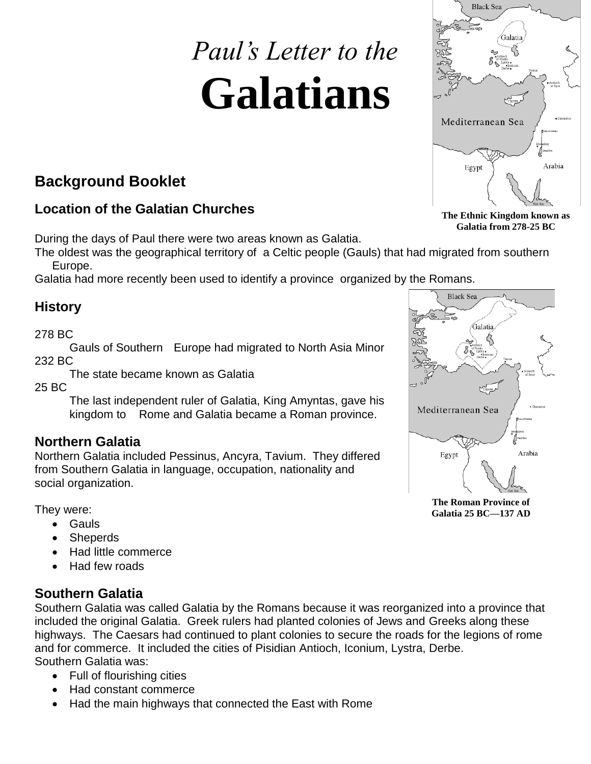# *Paul's Letter to the* **Galatians**

# **Background Booklet**

# **Location of the Galatian Churches**

During the days of Paul there were two areas known as Galatia.

The oldest was the geographical territory of a Celtic people (Gauls) that had migrated from southern Europe.

Galatia had more recently been used to identify a province organized by the Romans.

# **History**

### 278 BC

Gauls of Southern Europe had migrated to North Asia Minor 232 BC

The state became known as Galatia

25 BC

The last independent ruler of Galatia, King Amyntas, gave his kingdom to Rome and Galatia became a Roman province.

# **Northern Galatia**

Northern Galatia included Pessinus, Ancyra, Tavium. They differed from Southern Galatia in language, occupation, nationality and social organization.

They were:

- Gauls
- Sheperds
- Had little commerce
- Had few roads

## **Southern Galatia**

Southern Galatia was called Galatia by the Romans because it was reorganized into a province that included the original Galatia. Greek rulers had planted colonies of Jews and Greeks along these highways. The Caesars had continued to plant colonies to secure the roads for the legions of rome and for commerce. It included the cities of Pisidian Antioch, Iconium, Lystra, Derbe. Southern Galatia was:

- Full of flourishing cities
- Had constant commerce
- Had the main highways that connected the East with Rome

**The Ethnic Kingdom known as Galatia from 278-25 BC**





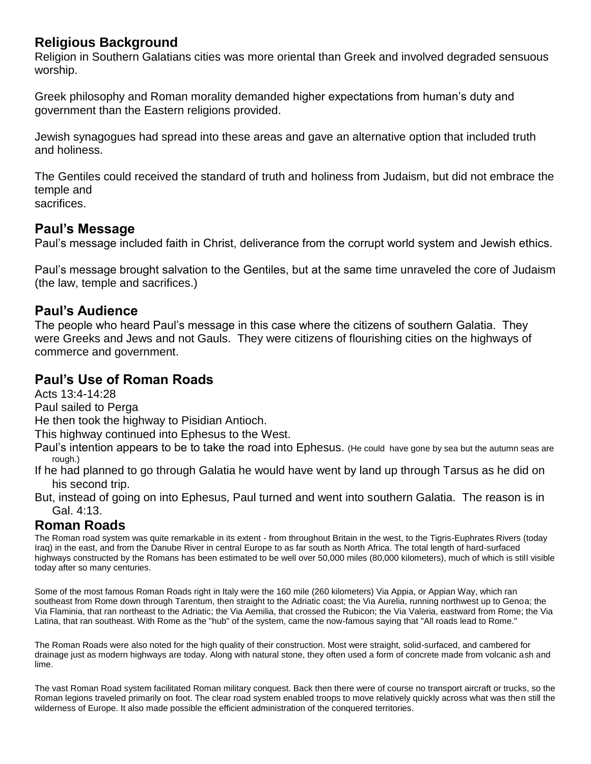## **Religious Background**

Religion in Southern Galatians cities was more oriental than Greek and involved degraded sensuous worship.

Greek philosophy and Roman morality demanded higher expectations from human's duty and government than the Eastern religions provided.

Jewish synagogues had spread into these areas and gave an alternative option that included truth and holiness.

The Gentiles could received the standard of truth and holiness from Judaism, but did not embrace the temple and sacrifices.

## **Paul's Message**

Paul's message included faith in Christ, deliverance from the corrupt world system and Jewish ethics.

Paul's message brought salvation to the Gentiles, but at the same time unraveled the core of Judaism (the law, temple and sacrifices.)

## **Paul's Audience**

The people who heard Paul's message in this case where the citizens of southern Galatia. They were Greeks and Jews and not Gauls. They were citizens of flourishing cities on the highways of commerce and government.

## **Paul's Use of Roman Roads**

Acts 13:4-14:28

Paul sailed to Perga

He then took the highway to Pisidian Antioch.

This highway continued into Ephesus to the West.

Paul's intention appears to be to take the road into Ephesus. (He could have gone by sea but the autumn seas are rough.)

If he had planned to go through Galatia he would have went by land up through Tarsus as he did on his second trip.

But, instead of going on into Ephesus, Paul turned and went into southern Galatia. The reason is in Gal. 4:13.

## **Roman Roads**

The Roman road system was quite remarkable in its extent - from throughout Britain in the west, to the Tigris-Euphrates Rivers (today Iraq) in the east, and from the Danube River in central Europe to as far south as North Africa. The total length of hard-surfaced highways constructed by the Romans has been estimated to be well over 50,000 miles (80,000 kilometers), much of which is still visible today after so many centuries.

Some of the most famous Roman Roads right in Italy were the 160 mile (260 kilometers) Via Appia, or Appian Way, which ran southeast from Rome down through Tarentum, then straight to the Adriatic coast; the Via Aurelia, running northwest up to Genoa; the Via Flaminia, that ran northeast to the Adriatic; the Via Aemilia, that crossed the Rubicon; the Via Valeria, eastward from Rome; the Via Latina, that ran southeast. With Rome as the "hub" of the system, came the now-famous saying that "All roads lead to Rome."

The Roman Roads were also noted for the high quality of their construction. Most were straight, solid-surfaced, and cambered for drainage just as modern highways are today. Along with natural stone, they often used a form of concrete made from volcanic ash and lime.

The vast Roman Road system facilitated Roman military conquest. Back then there were of course no transport aircraft or trucks, so the Roman legions traveled primarily on foot. The clear road system enabled troops to move relatively quickly across what was then still the wilderness of Europe. It also made possible the efficient administration of the conquered territories.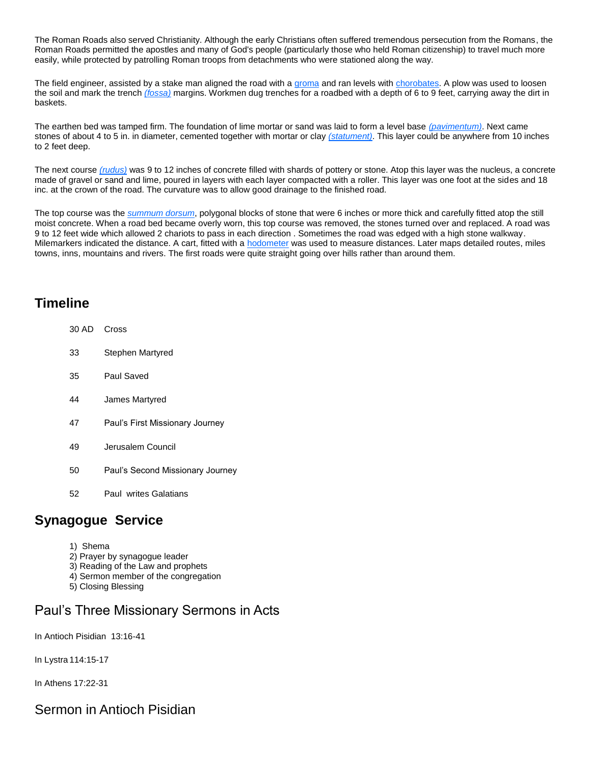The Roman Roads also served Christianity. Although the early Christians often suffered tremendous persecution from the Romans, the Roman Roads permitted the apostles and many of God's people (particularly those who held Roman citizenship) to travel much more easily, while protected by patrolling Roman troops from detachments who were stationed along the way.

The field engineer, assisted by a stake man aligned the road with a [groma](../../Downloads/groma.htm) and ran levels with [chorobates.](../../Downloads/chorobate.htm) A plow was used to loosen the soil and mark the trench *(fossa)* margins. Workmen dug trenches for a roadbed with a depth of 6 to 9 feet, carrying away the dirt in baskets.

The earthen bed was tamped firm. The foundation of lime mortar or sand was laid to form a level base *(pavimentum)*. Next came stones of about 4 to 5 in. in diameter, cemented together with mortar or clay *(statument)*. This layer could be anywhere from 10 inches to 2 feet deep.

The next course *(rudus)* was 9 to 12 inches of concrete filled with shards of pottery or stone. Atop this layer was the nucleus, a concrete made of gravel or sand and lime, poured in layers with each layer compacted with a roller. This layer was one foot at the sides and 18 inc. at the crown of the road. The curvature was to allow good drainage to the finished road.

The top course was the *summum dorsum*, polygonal blocks of stone that were 6 inches or more thick and carefully fitted atop the still moist concrete. When a road bed became overly worn, this top course was removed, the stones turned over and replaced. A road was 9 to 12 feet wide which allowed 2 chariots to pass in each direction . Sometimes the road was edged with a high stone walkway. Milemarkers indicated the distance. A cart, fitted with a **hodometer** was used to measure distances. Later maps detailed routes, miles towns, inns, mountains and rivers. The first roads were quite straight going over hills rather than around them.

## **Timeline**

- 30 AD Cross 33 Stephen Martyred 35 Paul Saved 44 James Martyred 47 Paul's First Missionary Journey 49 Jerusalem Council 50 Paul's Second Missionary Journey
- 52 Paul writes Galatians

## **Synagogue Service**

- 1) Shema
- 2) Prayer by synagogue leader
- 3) Reading of the Law and prophets
- 4) Sermon member of the congregation
- 5) Closing Blessing

## Paul's Three Missionary Sermons in Acts

In Antioch Pisidian 13:16-41

In Lystra 114:15-17

In Athens 17:22-31

## Sermon in Antioch Pisidian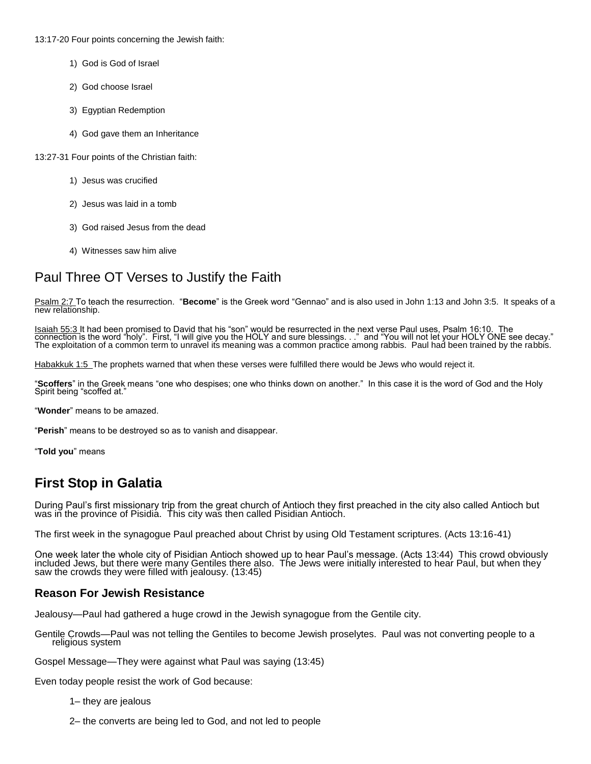13:17-20 Four points concerning the Jewish faith:

- 1) God is God of Israel
- 2) God choose Israel
- 3) Egyptian Redemption
- 4) God gave them an Inheritance

13:27-31 Four points of the Christian faith:

- 1) Jesus was crucified
- 2) Jesus was laid in a tomb
- 3) God raised Jesus from the dead
- 4) Witnesses saw him alive

# Paul Three OT Verses to Justify the Faith

Psalm 2:7 To teach the resurrection. "**Become**" is the Greek word "Gennao" and is also used in John 1:13 and John 3:5. It speaks of a new relationship.

Isaiah 55:3 It had been promised to David that his "son" would be resurrected in the next verse Paul uses, Psalm 16:10. The connection is the word "holy". First, "I will give you the HOLY and sure blessings. . ." and "You will not let your HOLY ONE see decay." The exploitation of a common term to unravel its meaning was a common practice among rabbis. Paul had been trained by the rabbis.

Habakkuk 1:5 The prophets warned that when these verses were fulfilled there would be Jews who would reject it.

"**Scoffers**" in the Greek means "one who despises; one who thinks down on another." In this case it is the word of God and the Holy Spirit being "scoffed at."

#### "**Wonder**" means to be amazed.

"**Perish**" means to be destroyed so as to vanish and disappear.

"**Told you**" means

## **First Stop in Galatia**

During Paul's first missionary trip from the great church of Antioch they first preached in the city also called Antioch but was in the province of Pisidia. This city was then called Pisidian Antioch.

The first week in the synagogue Paul preached about Christ by using Old Testament scriptures. (Acts 13:16-41)

One week later the whole city of Pisidian Antioch showed up to hear Paul's message. (Acts 13:44) This crowd obviously included Jews, but there were many Gentiles there also. The Jews were initially interested to hear Paul, but when they saw the crowds they were filled with jealousy. (13:45)

#### **Reason For Jewish Resistance**

Jealousy—Paul had gathered a huge crowd in the Jewish synagogue from the Gentile city.

Gentile Crowds—Paul was not telling the Gentiles to become Jewish proselytes. Paul was not converting people to a religious system

Gospel Message—They were against what Paul was saying (13:45)

Even today people resist the work of God because:

- 1– they are jealous
- 2– the converts are being led to God, and not led to people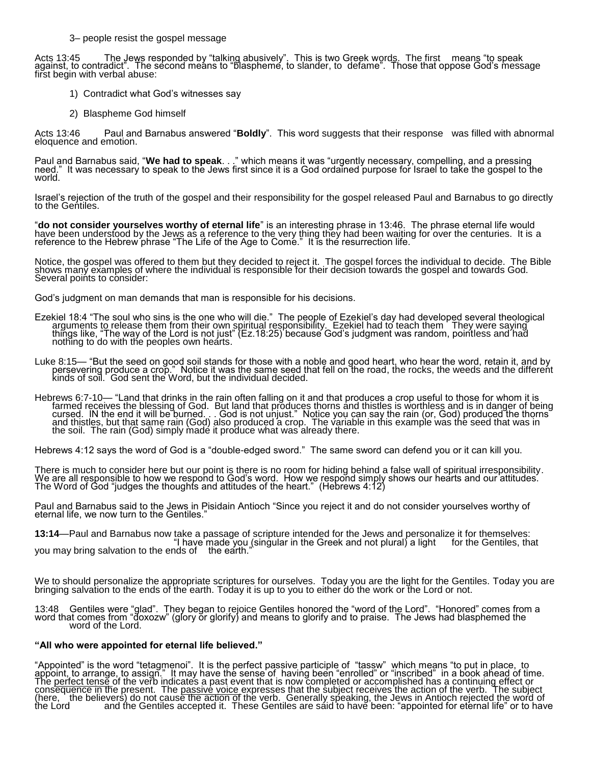3– people resist the gospel message

Acts 13:45 The Jews responded by "talking abusively". This is two Greek words. The first means "to speak against, to contradict". The second means to "blaspheme, to slander, to defame". Those that oppose God's message first begin with verbal abuse:

- 1) Contradict what God's witnesses say
- 2) Blaspheme God himself

Acts 13:46 Paul and Barnabus answered "**Boldly**". This word suggests that their response was filled with abnormal eloquence and emotion.

Paul and Barnabus said, "**We had to speak**. . ." which means it was "urgently necessary, compelling, and a pressing need." It was necessary to speak to the Jews first since it is a God ordained purpose for Israel to take the gospel to the world.

Israel's rejection of the truth of the gospel and their responsibility for the gospel released Paul and Barnabus to go directly to the Gentiles.

"**do not consider yourselves worthy of eternal life**" is an interesting phrase in 13:46. The phrase eternal life would have been understood by the Jews as a reference to the very thing they had been waiting for over the centuries. It is a reference to the Hebrew phrase "The Life of the Age to Come." It is the resurrection life.

Notice, the gospel was offered to them but they decided to reject it. The gospel forces the individual to decide. The Bible shows many examples of where the individual is responsible for their decision towards the gospel and towards God. Several points to consider:

God's judgment on man demands that man is responsible for his decisions.

Ezekiel 18:4 "The soul who sins is the one who will die." The people of Ezekiel's day had developed several theological arguments to release them from their own spiritual responsibility. Ezekiel had to teach them They were saying things like, "The way of the Lord is not just" (Ez.18:25) because God's judgment was random, pointless and had nothing to do with the peoples own hearts.

Luke 8:15— "But the seed on good soil stands for those with a noble and good heart, who hear the word, retain it, and by persevering produce a crop." Notice it was the same seed that fell on the road, the rocks, the weeds and the different kinds of soil. God sent the Word, but the individual decided.

Hebrews 6:7-10— "Land that drinks in the rain often falling on it and that produces a crop useful to those for whom it is farmed receives the blessing of God. But land that produces thorns and thistles is worthless and is in danger of being cursed. IN the end it will be burned. . . God is not unjust." Notice you can say the rain (or, God) produced the thorns and thistles, but that same rain (God) also produced a crop. The variable in this example was the seed that was in the soil. The rain (God) simply made it produce what was already there.

Hebrews 4:12 says the word of God is a "double-edged sword." The same sword can defend you or it can kill you.

There is much to consider here but our point is there is no room for hiding behind a false wall of spiritual irresponsibility. We are all responsible to how we respond to God's word. How we respond simply shows our hearts and our attitudes. The Word of God "judges the thoughts and attitudes of the heart." (Hebrews 4:12)

Paul and Barnabus said to the Jews in Pisidain Antioch "Since you reject it and do not consider yourselves worthy of eternal life, we now turn to the Gentiles.'

**13:14**—Paul and Barnabus now take a passage of scripture intended for the Jews and personalize it for themselves: "I have made you (singular in the Greek and not plural) a light for the Gentiles, that you may bring salvation to the ends of the earth."

We to should personalize the appropriate scriptures for ourselves. Today you are the light for the Gentiles. Today you are bringing salvation to the ends of the earth. Today it is up to you to either do the work or the Lord or not.

13:48 Gentiles were "glad". They began to rejoice Gentiles honored the "word of the Lord". "Honored" comes from a word that comes from "doxozw" (glory or glorify) and means to glorify and to praise. The Jews had blasphemed the word of the Lord.

#### **"All who were appointed for eternal life believed."**

"Appointed" is the word "tetagmenoi". It is the perfect passive participle of "tassw" which means "to put in place, to appoint, to arrange, to assign." It may have the sense of having been "enrolled" or "inscribed" in a book ahead of time. The perfect tense of the verb indicates a past event that is now completed or accomplished has a continuing effect or consequence in the present. The passive voice expresses that the subject receives the action of the verb. The subject (here, the believers) do not cause the action of the verb. Generally speaking, the Jews in Antioch rejected the word of the Lord and the Gentiles accepted it. These Gentiles are said to have been: "appointed for eternal life" or to have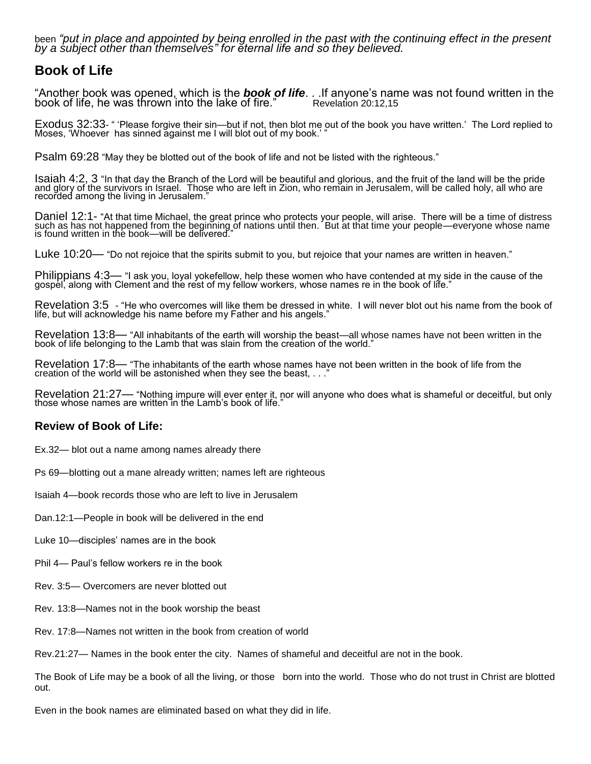been *"put in place and appointed by being enrolled in the past with the continuing effect in the present by a subject other than themselves" for eternal life and so they believed.*

## **Book of Life**

"Another book was opened, which is the *book of life*. . .If anyone's name was not found written in the book of life, he was thrown into the lake of fire."

Exodus 32:33- " 'Please forgive their sin—but if not, then blot me out of the book you have written.' The Lord replied to Moses, 'Whoever has sinned against me I will blot out of my book.' "

Psalm 69:28 "May they be blotted out of the book of life and not be listed with the righteous."

Isaiah 4:2, 3 "In that day the Branch of the Lord will be beautiful and glorious, and the fruit of the land will be the pride and glory of the survivors in Israel. Those who are left in Zion, who remain in Jerusalem, will be called holy, all who are recorded among the living in Jerusalem."

Daniel 12:1- "At that time Michael, the great prince who protects your people, will arise. There will be a time of distress such as has not happened from the beginning of nations until then. But at that time your people—everyone whose name is found written in the book—will be delivered."

Luke 10:20— "Do not rejoice that the spirits submit to you, but rejoice that your names are written in heaven."

Philippians 4:3— "I ask you, loyal yokefellow, help these women who have contended at my side in the cause of the gospel, along with Clement and the rest of my fellow workers, whose names re in the book of life."

Revelation 3:5 - "He who overcomes will like them be dressed in white. I will never blot out his name from the book of life, but will acknowledge his name before my Father and his angels."

Revelation 13:8— "All inhabitants of the earth will worship the beast—all whose names have not been written in the book of life belonging to the Lamb that was slain from the creation of the world."

Revelation 17:8— "The inhabitants of the earth whose names have not been written in the book of life from the creation of the world will be astonished when they see the beast, . . .

Revelation 21:27— "Nothing impure will ever enter it, nor will anyone who does what is shameful or deceitful, but only those whose names are written in the Lamb's book of life.

#### **Review of Book of Life:**

- Ex.32— blot out a name among names already there
- Ps 69—blotting out a mane already written; names left are righteous

Isaiah 4—book records those who are left to live in Jerusalem

- Dan.12:1—People in book will be delivered in the end
- Luke 10—disciples' names are in the book
- Phil 4— Paul's fellow workers re in the book
- Rev. 3:5— Overcomers are never blotted out
- Rev. 13:8—Names not in the book worship the beast
- Rev. 17:8—Names not written in the book from creation of world

Rev.21:27— Names in the book enter the city. Names of shameful and deceitful are not in the book.

The Book of Life may be a book of all the living, or those born into the world. Those who do not trust in Christ are blotted out.

Even in the book names are eliminated based on what they did in life.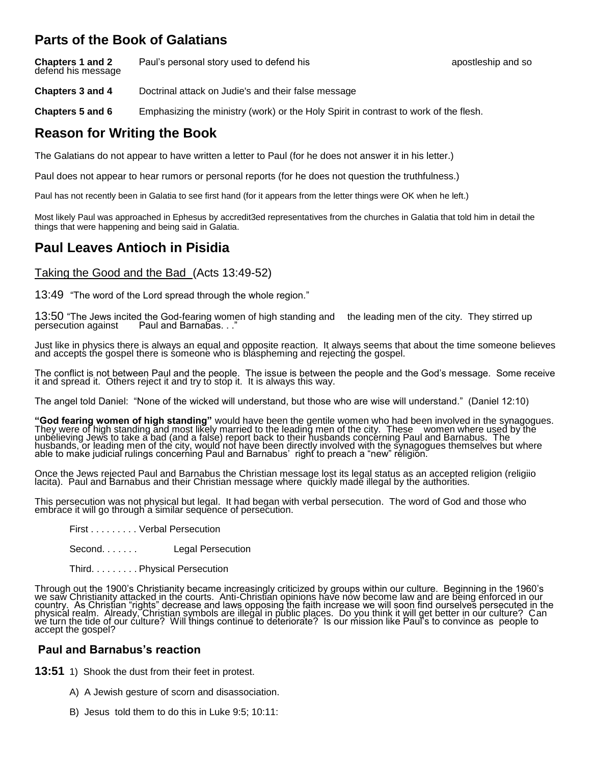## **Parts of the Book of Galatians**

**Chapters 1 and 2** Paul's personal story used to defend his **Chapters 1 and Solution** and so defend his message

**Chapters 3 and 4** Doctrinal attack on Judie's and their false message

**Chapters 5 and 6** Emphasizing the ministry (work) or the Holy Spirit in contrast to work of the flesh.

# **Reason for Writing the Book**

The Galatians do not appear to have written a letter to Paul (for he does not answer it in his letter.)

Paul does not appear to hear rumors or personal reports (for he does not question the truthfulness.)

Paul has not recently been in Galatia to see first hand (for it appears from the letter things were OK when he left.)

Most likely Paul was approached in Ephesus by accredit3ed representatives from the churches in Galatia that told him in detail the things that were happening and being said in Galatia.

# **Paul Leaves Antioch in Pisidia**

## Taking the Good and the Bad (Acts 13:49-52)

13:49 "The word of the Lord spread through the whole region."

13:50 "The Jews incited the God-fearing women of high standing and the leading men of the city. They stirred up persecution against Paul and Barnabas..." Paul and Barnabas. . ."

Just like in physics there is always an equal and opposite reaction. It always seems that about the time someone believes and accepts the gospel there is someone who is blaspheming and rejecting the gospel.

The conflict is not between Paul and the people. The issue is between the people and the God's message. Some receive it and spread it. Others reject it and try to stop it. It is always this way.

The angel told Daniel: "None of the wicked will understand, but those who are wise will understand." (Daniel 12:10)

**"God fearing women of high standing"** would have been the gentile women who had been involved in the synagogues. They were of high standing and most likely married to the leading men of the city. These women where used by the unbelieving Jews to take a bad (and a false) report back to their husbands concerning Paul and Barnabus. The husbands, or leading men of the city, would not have been directly involved with the synagogues themselves but where able to make judicial rulings concerning Paul and Barnabus' right to preach a "new" religion.

Once the Jews rejected Paul and Barnabus the Christian message lost its legal status as an accepted religion (religiio lacita). Paul and Barnabus and their Christian message where ğuickly madĕ illegal by the authorities.

This persecution was not physical but legal. It had began with verbal persecution. The word of God and those who embrace it will go through a similar sequence of persecution.

- First . . . . . . . . . Verbal Persecution
- Second. . . . . . . Legal Persecution
- Third. . . . . . . . . Physical Persecution

Through out the 1900's Christianity became increasingly criticized by groups within our culture. Beginning in the 1960's we saw Christianity attacked in the courts. Anti-Christian opinions have now become law and are being enforced in our country. As Christian "rights" decrease and laws opposing the faith increase we will soon find ourselves persecuted in the physical realm. Already, Christian symbols are illegal in public places. Do you think it will get better in our culture? Can we turn the tide of our culture? Will things continue to deteriorate? Is our mission like Paul's to convince as people to accept the gospel?

## **Paul and Barnabus's reaction**

**13:51** 1) Shook the dust from their feet in protest.

- A) A Jewish gesture of scorn and disassociation.
- B) Jesus told them to do this in Luke 9:5; 10:11: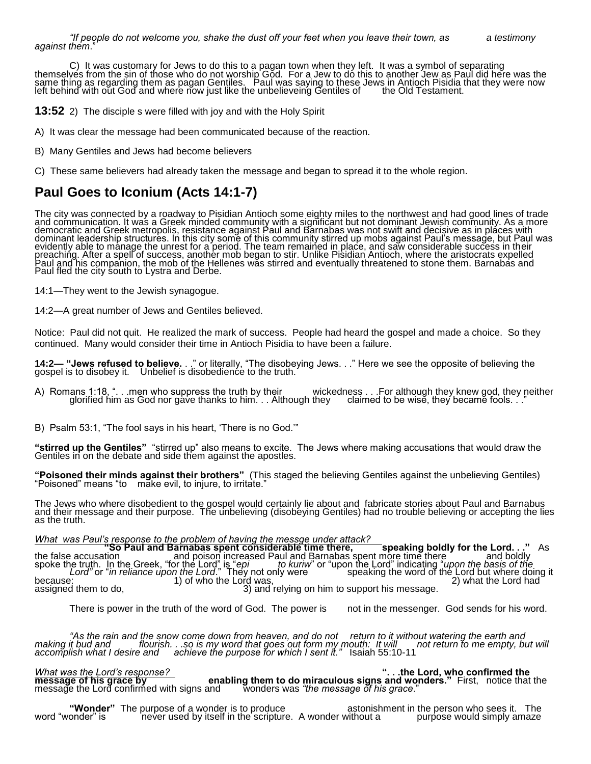C) It was customary for Jews to do this to a pagan town when they left. It was a symbol of separating themselves from the sin of those who do not worship God. For a Jew to do this to another Jew as Paul did here was the same thing as regarding them as pagan Gentiles. Paul was saying to these Jews in Antioch Pisidia that they were now left behind with out God and where now just like the unbelieveing Gentiles of the Old Testament.

**13:52** 2) The disciple s were filled with joy and with the Holy Spirit

- A) It was clear the message had been communicated because of the reaction.
- B) Many Gentiles and Jews had become believers

C) These same believers had already taken the message and began to spread it to the whole region.

# **Paul Goes to Iconium (Acts 14:1-7)**

The city was connected by a roadway to Pisidian Antioch some eighty miles to the northwest and had good lines of trade and communication. It was a Greek minded community with a significant but not dominant Jewish community. As a more democratic and Greek metropolis, resistance against Paul and Barnabas was not swift and decisive as in places with dominant leadership structures. In this city some of this community stirred up mobs against Paul's message, but Paul was evidently able to manage the unrest for a period. The team remained in place, and saw considerable success in their preaching. After a spell of success, another mob began to stir. Unlike Pisidian Antioch, where the aristocrats expelled Paul and his companion, the mob of the Hellenes was stirred and eventually threatened to stone them. Barnabas and Paul fled the city south to Lystra and Derbe.

14:1—They went to the Jewish synagogue.

14:2—A great number of Jews and Gentiles believed.

Notice: Paul did not quit. He realized the mark of success. People had heard the gospel and made a choice. So they continued. Many would consider their time in Antioch Pisidia to have been a failure.

**14:2— "Jews refused to believe.** . ." or literally, "The disobeying Jews. . ." Here we see the opposite of believing the gospel is to disobey it. Unbelief is disobedience to the truth.

A) Romans 1:18, ". . .men who suppress the truth by their wickedness . . . For although they knew god, they neither glorified him as God nor gave thanks to him. . . Although they claimed to be wise, they became fools. . ." glorified him as God nor gave thanks to him. . . Although they

B) Psalm 53:1, "The fool says in his heart, 'There is no God.'"

**"stirred up the Gentiles"** "stirred up" also means to excite. The Jews where making accusations that would draw the Gentiles in on the debate and side them against the apostles.

**"Poisoned their minds against their brothers"** (This staged the believing Gentiles against the unbelieving Gentiles) "Poisoned" means "to make evil, to injure, to irritate."

The Jews who where disobedient to the gospel would certainly lie about and fabricate stories about Paul and Barnabus and their message and their purpose. The unbelieving (disobeying Gentiles) had no trouble believing or accepting the lies as the truth.

#### *What was Paul's response to the problem of having the messge under attack?*

**"So Paul and Barnabas spent considerable time there, speaking boldly for the Lord. . ."** As the false accusation and poison increased Paul and Barnabas spent more time there and boldly spoke the truth. In the Greek, "for the Lord" is "*epi to kuriw*" or "upon the Lord" indicating "*upon the basis of the* Lord" or "*in reliance upon the Lord*." They not only were speaking the word of the Lord but where doing it because: 1) of who the Lord was, 2) what the Lord had and the Lord had assigned them to do,  $\sim$   $\sim$  3) and relying on him to support his message.

There is power in the truth of the word of God. The power is not in the messenger. God sends for his word.

*"As the rain and the snow come down from heaven, and do not return to it without watering the earth and making it bud and flourish. . .so is my word that goes out form my mouth: It will not return to me empty, but will accomplish what I desire and achieve the purpose for which I sent it."* Isaiah 55:10-11

*What was the Lord's response?* **". . .the Lord, who confirmed the message of his grace by enabling them to do miraculous signs and wonders."** First, notice that the message of his grace by<br>message of his grace by enabling them to do miraculous signs and wo<br>message the Lord confirmed with signs and wonders was *"the message of his grace."* 

**"Wonder"** The purpose of a wonder is to produce astonishment in the person who sees it. The<br>word "wonder" is never used by itself in the scripture. A wonder without a purpose would simply amaze never used by itself in the scripture. A wonder without a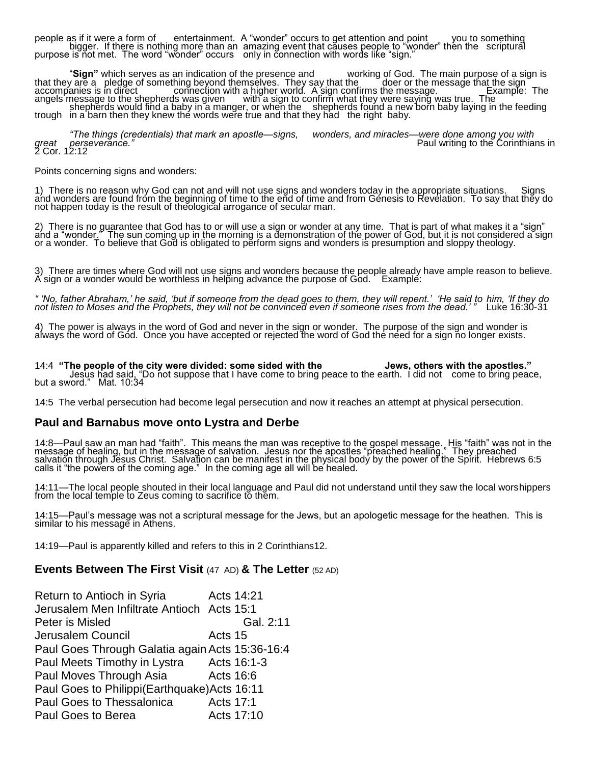people as if it were a form of entertainment. A "wonder" occurs to get attention and point you to something bigger. If there is nothing more than an amazing event that causes people to "wonder" then the scriptural purpose is not met. The word "wonder" occurs only in connection with words like "sign."

"**Sign"** which serves as an indication of the presence and working of God. The main purpose of a sign is that they are a pledge of something beyond themselves. They say that the  $\hskip10mm$  doer or the message that the sign  $\hskip10mm$ accompanies is in direct connection with a higher world. A sign confirms the message. The Example: The angels message to the shepherds was given with a sign to confirm what they were saying was true. The shepherds would find a baby in a manger, or when the shepherds found a new born baby laying in the feeding trough in a barn then they knew the words were true and that they had the right baby.

*"The things (credentials) that mark an apostle—signs, wonders, and miracles—were done among you with great perseverance."* Paul writing to the Corinthians in 2 Cor. 12:12

Points concerning signs and wonders:

1) There is no reason why God can not and will not use signs and wonders today in the appropriate situations. Signs and wonders are found from the beginning of time to the end of time and from Genesis to Revelation. To say that they do not happen today is the result of theological arrogance of secular man.

2) There is no guarantee that God has to or will use a sign or wonder at any time. That is part of what makes it a "sign" and a "wonder." The sun coming up in the morning is a demonstration of the power of God, but it is not considered a sign or a wonder. To believe that God is obligated to perform signs and wonders is presumption and sloppy theology.

3) There are times where God will not use signs and wonders because the people already have ample reason to believe. A' sign or a wonder would be worthless in helping advance the purpose of God. Example:

*" 'No, father Abraham,' he said, 'but if someone from the dead goes to them, they will repent.' 'He said to him, 'If they do not listen to Moses and the Prophets, they will not be convinced even if someone rises from the dead.' "* Luke 16:30-31

4) The power is always in the word of God and never in the sign or wonder. The purpose of the sign and wonder is always the word of Gód. Once you have accepted or rejected the word of God the need for a sign no longer exists.

14:4 **"The people of the city were divided: some sided with the Jews, others with the apostles."** Jesus had said, "Do not suppose that I have come to bring peace to the earth. I did not come to bring peace, but a sword." Mat. 10:34

14:5 The verbal persecution had become legal persecution and now it reaches an attempt at physical persecution.

#### **Paul and Barnabus move onto Lystra and Derbe**

14:8—Paul saw an man had "faith". This means the man was receptive to the gospel message. His "faith" was not in the message of healing, but in the message of salvation. Jesus nor the apostles "preached healing." They preached salvation through Jesus Christ. Salvation can be manifest in the physical body by the power of the Spirit. Hebrews 6:5 calls it "the powers of the coming age." In the coming age all will be healed.

14:11—The local people shouted in their local language and Paul did not understand until they saw the local worshippers from the local temple to Zeus coming to sacrifice to them.

14:15—Paul's message was not a scriptural message for the Jews, but an apologetic message for the heathen. This is similar to his message in Athens.

14:19—Paul is apparently killed and refers to this in 2 Corinthians12.

#### **Events Between The First Visit** (47 AD) **& The Letter** (52 AD)

| Return to Antioch in Syria                      |           | Acts 14:21  |
|-------------------------------------------------|-----------|-------------|
| Jerusalem Men Infiltrate Antioch Acts 15:1      |           |             |
| Peter is Misled                                 |           | Gal. 2:11   |
| Jerusalem Council                               | Acts 15   |             |
| Paul Goes Through Galatia again Acts 15:36-16:4 |           |             |
| Paul Meets Timothy in Lystra                    |           | Acts 16:1-3 |
| Paul Moves Through Asia                         | Acts 16:6 |             |
| Paul Goes to Philippi (Earthquake) Acts 16:11   |           |             |
| Paul Goes to Thessalonica                       | Acts 17:1 |             |
| Paul Goes to Berea                              |           | Acts 17:10  |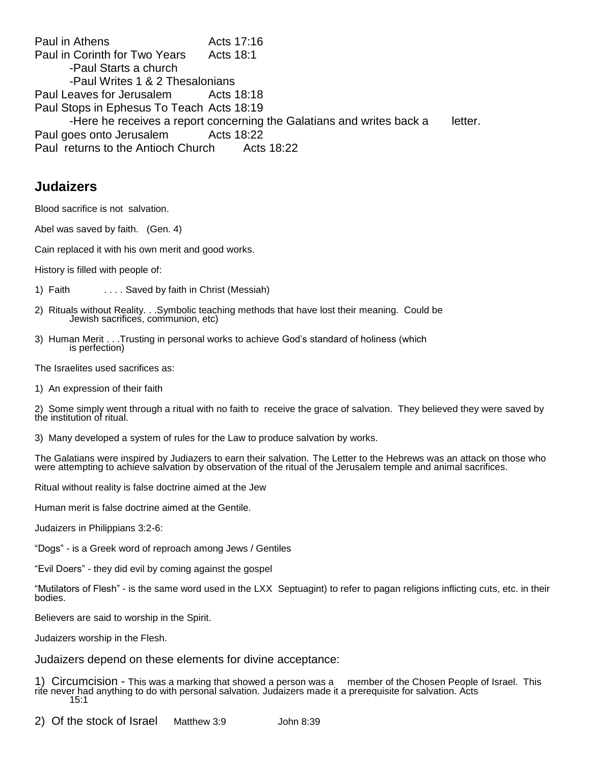Paul in Athens Acts 17:16 Paul in Corinth for Two Years Acts 18:1 -Paul Starts a church -Paul Writes 1 & 2 Thesalonians Paul Leaves for Jerusalem Acts 18:18 Paul Stops in Ephesus To Teach Acts 18:19 -Here he receives a report concerning the Galatians and writes back a letter. Paul goes onto Jerusalem Acts 18:22 Paul returns to the Antioch Church Acts 18:22

## **Judaizers**

Blood sacrifice is not salvation.

Abel was saved by faith. (Gen. 4)

Cain replaced it with his own merit and good works.

History is filled with people of:

- 1) Faith . . . . Saved by faith in Christ (Messiah)
- 2) Rituals without Reality. . .Symbolic teaching methods that have lost their meaning. Could be Jewish sacrifices, communion, etc)
- 3) Human Merit . . .Trusting in personal works to achieve God's standard of holiness (which is perfection)

The Israelites used sacrifices as:

1) An expression of their faith

2) Some simply went through a ritual with no faith to receive the grace of salvation. They believed they were saved by the institution of ritual.

3) Many developed a system of rules for the Law to produce salvation by works.

The Galatians were inspired by Judiazers to earn their salvation. The Letter to the Hebrews was an attack on those who were attempting to achieve salvation by observation of the ritual of the Jerusalem temple and animal sacrifices.

Ritual without reality is false doctrine aimed at the Jew

Human merit is false doctrine aimed at the Gentile.

Judaizers in Philippians 3:2-6:

"Dogs" - is a Greek word of reproach among Jews / Gentiles

"Evil Doers" - they did evil by coming against the gospel

"Mutilators of Flesh" - is the same word used in the LXX Septuagint) to refer to pagan religions inflicting cuts, etc. in their bodies.

Believers are said to worship in the Spirit.

Judaizers worship in the Flesh.

Judaizers depend on these elements for divine acceptance:

1) Circumcision - This was a marking that showed a person was a member of the Chosen People of Israel. This rite never had anything to do with personal salvation. Judaizers made it a prerequisite for salvation. Acts 15:1